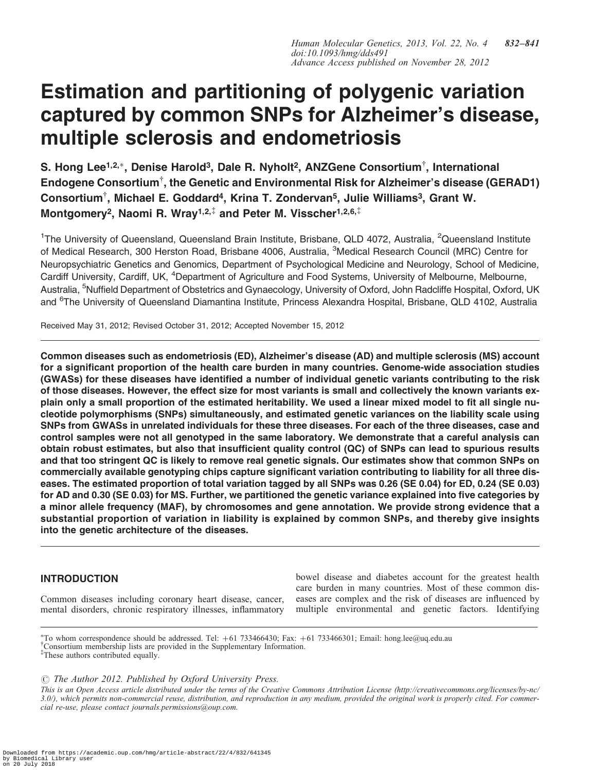# Estimation and partitioning of polygenic variation captured by common SNPs for Alzheimer's disease, multiple sclerosis and endometriosis

S. Hong Lee<sup>1,2,</sup>\*, Denise Harold<sup>3</sup>, Dale R. Nyholt<sup>2</sup>, ANZGene Consortium<sup>†</sup>, International Endogene Consortium $^{\dagger}$ , the Genetic and Environmental Risk for Alzheimer's disease (GERAD1) Consortium<sup>†</sup>, Michael E. Goddard<sup>4</sup>, Krina T. Zondervan<sup>5</sup>, Julie Williams<sup>3</sup>, Grant W. Montgomery<sup>2</sup>, Naomi R. Wray<sup>1,2,‡</sup> and Peter M. Visscher<sup>1,2,6,‡</sup>

<sup>1</sup>The University of Queensland, Queensland Brain Institute, Brisbane, QLD 4072, Australia, <sup>2</sup>Queensland Institute of Medical Research, 300 Herston Road, Brisbane 4006, Australia, <sup>3</sup>Medical Research Council (MRC) Centre for Neuropsychiatric Genetics and Genomics, Department of Psychological Medicine and Neurology, School of Medicine, Cardiff University, Cardiff, UK, <sup>4</sup>Department of Agriculture and Food Systems, University of Melbourne, Melbourne, Australia, <sup>5</sup>Nuffield Department of Obstetrics and Gynaecology, University of Oxford, John Radcliffe Hospital, Oxford, UK and <sup>6</sup>The University of Queensland Diamantina Institute, Princess Alexandra Hospital, Brisbane, QLD 4102, Australia

Received May 31, 2012; Revised October 31, 2012; Accepted November 15, 2012

Common diseases such as endometriosis (ED), Alzheimer's disease (AD) and multiple sclerosis (MS) account for a significant proportion of the health care burden in many countries. Genome-wide association studies (GWASs) for these diseases have identified a number of individual genetic variants contributing to the risk of those diseases. However, the effect size for most variants is small and collectively the known variants explain only a small proportion of the estimated heritability. We used a linear mixed model to fit all single nucleotide polymorphisms (SNPs) simultaneously, and estimated genetic variances on the liability scale using SNPs from GWASs in unrelated individuals for these three diseases. For each of the three diseases, case and control samples were not all genotyped in the same laboratory. We demonstrate that a careful analysis can obtain robust estimates, but also that insufficient quality control (QC) of SNPs can lead to spurious results and that too stringent QC is likely to remove real genetic signals. Our estimates show that common SNPs on commercially available genotyping chips capture significant variation contributing to liability for all three diseases. The estimated proportion of total variation tagged by all SNPs was 0.26 (SE 0.04) for ED, 0.24 (SE 0.03) for AD and 0.30 (SE 0.03) for MS. Further, we partitioned the genetic variance explained into five categories by a minor allele frequency (MAF), by chromosomes and gene annotation. We provide strong evidence that a substantial proportion of variation in liability is explained by common SNPs, and thereby give insights into the genetic architecture of the diseases.

# INTRODUCTION

Common diseases including coronary heart disease, cancer, mental disorders, chronic respiratory illnesses, inflammatory

bowel disease and diabetes account for the greatest health care burden in many countries. Most of these common diseases are complex and the risk of diseases are influenced by multiple environmental and genetic factors. Identifying

 $\odot$  The Author 2012. Published by Oxford University Press.

This is an Open Access article distributed under the terms of the Creative Commons Attribution License (http://creativecommons.org/licenses/by-nc/ 3.0/), which permits non-commercial reuse, distribution, and reproduction in any medium, provided the original work is properly cited. For commercial re-use, please contact journals.permissions@oup.com.

<sup>∗</sup> To whom correspondence should be addressed. Tel: <sup>+</sup>61 733466430; Fax: <sup>+</sup>61 733466301; Email: hong.lee@uq.edu.au †

Consortium membership lists are provided in the Supplementary Information.

<sup>‡</sup> These authors contributed equally.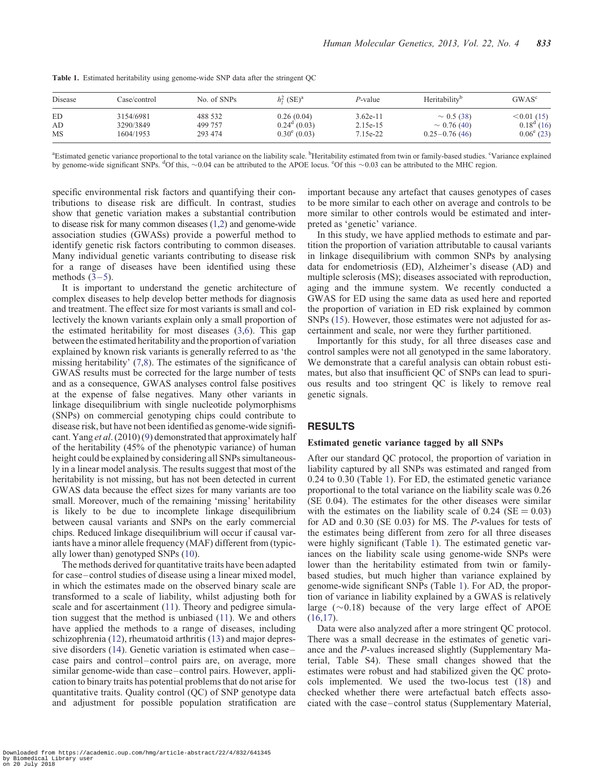| Disease   | Case/control | No. of SNPs | $h_i^2$ (SE) <sup>a</sup>  | P-value    | Heritability <sup>b</sup> | GWAS <sup>c</sup>   |
|-----------|--------------|-------------|----------------------------|------------|---------------------------|---------------------|
| ED        | 3154/6981    | 488 532     | 0.26(0.04)                 | $3.62e-11$ | $\sim 0.5(38)$            | < 0.01(15)          |
| AD        | 3290/3849    | 499 757     | $0.24^{\mathrm{a}}$ (0.03) | 2.15e-15   | $\sim 0.76(40)$           | $0.18^{\rm d}$ (16) |
| <b>MS</b> | 1604/1953    | 293 474     | $0.30^{\circ}$ (0.03)      | 7.15e-22   | $0.25 - 0.76(46)$         | $0.06^{\circ}$ (23) |

<span id="page-1-0"></span>Table 1. Estimated heritability using genome-wide SNP data after the stringent QC

<sup>a</sup> Estimated genetic variance proportional to the total variance on the liability scale. <sup>b</sup>Heritability estimated from twin or family-based studies. <sup>c</sup>Variance explained by genome-wide significant SNPs. <sup>d</sup>Of this,  $\sim$ 0.04 can be attributed to the APOE locus. <sup>e</sup>Of this  $\sim$ 0.03 can be attributed to the MHC region.

specific environmental risk factors and quantifying their contributions to disease risk are difficult. In contrast, studies show that genetic variation makes a substantial contribution to disease risk for many common diseases [\(1,2\)](#page-8-0) and genome-wide association studies (GWASs) provide a powerful method to identify genetic risk factors contributing to common diseases. Many individual genetic variants contributing to disease risk for a range of diseases have been identified using these methods  $(3-5)$  $(3-5)$  $(3-5)$  $(3-5)$ .

It is important to understand the genetic architecture of complex diseases to help develop better methods for diagnosis and treatment. The effect size for most variants is small and collectively the known variants explain only a small proportion of the estimated heritability for most diseases ([3](#page-8-0),[6\)](#page-8-0). This gap between the estimated heritability and the proportion of variation explained by known risk variants is generally referred to as 'the missing heritability' [\(7,8](#page-8-0)). The estimates of the significance of GWAS results must be corrected for the large number of tests and as a consequence, GWAS analyses control false positives at the expense of false negatives. Many other variants in linkage disequilibrium with single nucleotide polymorphisms (SNPs) on commercial genotyping chips could contribute to disease risk, but have not been identified as genome-wide significant. Yang et al. (2010) ([9\)](#page-8-0) demonstrated that approximately half of the heritability (45% of the phenotypic variance) of human height could be explained by considering all SNPs simultaneously in a linear model analysis. The results suggest that most of the heritability is not missing, but has not been detected in current GWAS data because the effect sizes for many variants are too small. Moreover, much of the remaining 'missing' heritability is likely to be due to incomplete linkage disequilibrium between causal variants and SNPs on the early commercial chips. Reduced linkage disequilibrium will occur if causal variants have a minor allele frequency (MAF) different from (typically lower than) genotyped SNPs ([10\)](#page-8-0).

The methods derived for quantitative traits have been adapted for case –control studies of disease using a linear mixed model, in which the estimates made on the observed binary scale are transformed to a scale of liability, whilst adjusting both for scale and for ascertainment ([11\)](#page-8-0). Theory and pedigree simulation suggest that the method is unbiased ([11\)](#page-8-0). We and others have applied the methods to a range of diseases, including schizophrenia [\(12](#page-8-0)), rheumatoid arthritis [\(13](#page-8-0)) and major depressive disorders ([14\)](#page-8-0). Genetic variation is estimated when case – case pairs and control –control pairs are, on average, more similar genome-wide than case-control pairs. However, application to binary traits has potential problems that do not arise for quantitative traits. Quality control (QC) of SNP genotype data and adjustment for possible population stratification are

important because any artefact that causes genotypes of cases to be more similar to each other on average and controls to be more similar to other controls would be estimated and interpreted as 'genetic' variance.

In this study, we have applied methods to estimate and partition the proportion of variation attributable to causal variants in linkage disequilibrium with common SNPs by analysing data for endometriosis (ED), Alzheimer's disease (AD) and multiple sclerosis (MS); diseases associated with reproduction, aging and the immune system. We recently conducted a GWAS for ED using the same data as used here and reported the proportion of variation in ED risk explained by common SNPs [\(15](#page-8-0)). However, those estimates were not adjusted for ascertainment and scale, nor were they further partitioned.

Importantly for this study, for all three diseases case and control samples were not all genotyped in the same laboratory. We demonstrate that a careful analysis can obtain robust estimates, but also that insufficient QC of SNPs can lead to spurious results and too stringent QC is likely to remove real genetic signals.

# RESULTS

## Estimated genetic variance tagged by all SNPs

After our standard QC protocol, the proportion of variation in liability captured by all SNPs was estimated and ranged from 0.24 to 0.30 (Table 1). For ED, the estimated genetic variance proportional to the total variance on the liability scale was 0.26 (SE 0.04). The estimates for the other diseases were similar with the estimates on the liability scale of  $0.24$  (SE = 0.03) for AD and 0.30 (SE 0.03) for MS. The P-values for tests of the estimates being different from zero for all three diseases were highly significant (Table 1). The estimated genetic variances on the liability scale using genome-wide SNPs were lower than the heritability estimated from twin or familybased studies, but much higher than variance explained by genome-wide significant SNPs (Table 1). For AD, the proportion of variance in liability explained by a GWAS is relatively large  $(\sim 0.18)$  because of the very large effect of APOE [\(16](#page-8-0),[17\)](#page-8-0).

Data were also analyzed after a more stringent QC protocol. There was a small decrease in the estimates of genetic variance and the P-values increased slightly [\(Supplementary Ma](http://hmg.oxfordjournals.org/lookup/suppl/doi:10.1093/hmg/dds491/-/DC1)[terial, Table S4](http://hmg.oxfordjournals.org/lookup/suppl/doi:10.1093/hmg/dds491/-/DC1)). These small changes showed that the estimates were robust and had stabilized given the QC protocols implemented. We used the two-locus test ([18\)](#page-8-0) and checked whether there were artefactual batch effects associated with the case –control status [\(Supplementary Material,](http://hmg.oxfordjournals.org/lookup/suppl/doi:10.1093/hmg/dds491/-/DC1)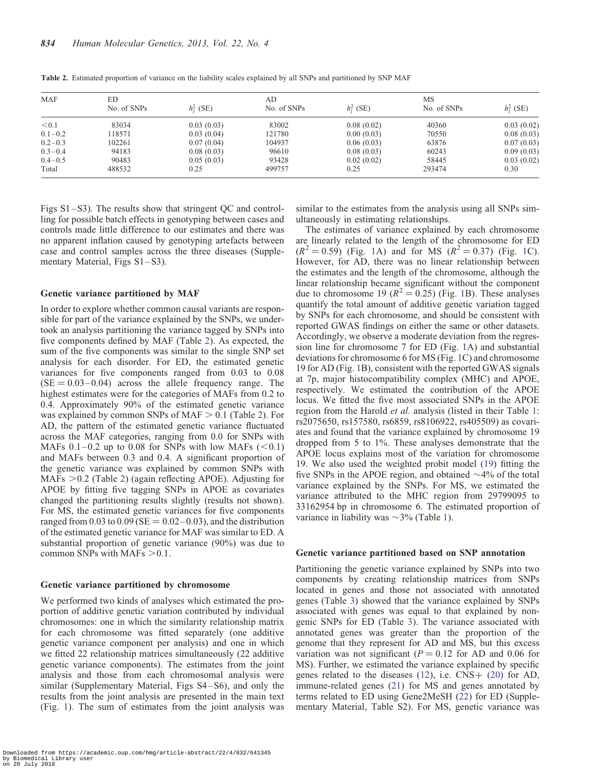| <b>MAF</b>  | ED          |              | AD          |              | <b>MS</b>   |              |
|-------------|-------------|--------------|-------------|--------------|-------------|--------------|
|             | No. of SNPs | $h_l^2$ (SE) | No. of SNPs | $h_l^2$ (SE) | No. of SNPs | $h_l^2$ (SE) |
| < 0.1       | 83034       | 0.03(0.03)   | 83002       | 0.08(0.02)   | 40360       | 0.03(0.02)   |
| $0.1 - 0.2$ | 118571      | 0.03(0.04)   | 121780      | 0.00(0.03)   | 70550       | 0.08(0.03)   |
| $0.2 - 0.3$ | 102261      | 0.07(0.04)   | 104937      | 0.06(0.03)   | 63876       | 0.07(0.03)   |
| $0.3 - 0.4$ | 94183       | 0.08(0.03)   | 96610       | 0.08(0.03)   | 60243       | 0.09(0.03)   |
| $0.4 - 0.5$ | 90483       | 0.05(0.03)   | 93428       | 0.02(0.02)   | 58445       | 0.03(0.02)   |
| Total       | 488532      | 0.25         | 499757      | 0.25         | 293474      | 0.30         |

Table 2. Estimated proportion of variance on the liability scales explained by all SNPs and partitioned by SNP MAF

Figs  $S1-S3$ ). The results show that stringent QC and controlling for possible batch effects in genotyping between cases and controls made little difference to our estimates and there was no apparent inflation caused by genotyping artefacts between case and control samples across the three diseases ([Supple](http://hmg.oxfordjournals.org/lookup/suppl/doi:10.1093/hmg/dds491/-/DC1)mentary Material, Figs  $S1 - S3$ ).

#### Genetic variance partitioned by MAF

In order to explore whether common causal variants are responsible for part of the variance explained by the SNPs, we undertook an analysis partitioning the variance tagged by SNPs into five components defined by MAF (Table 2). As expected, the sum of the five components was similar to the single SNP set analysis for each disorder. For ED, the estimated genetic variances for five components ranged from 0.03 to 0.08  $(SE = 0.03 - 0.04)$  across the allele frequency range. The highest estimates were for the categories of MAFs from 0.2 to 0.4. Approximately 90% of the estimated genetic variance was explained by common SNPs of MAF  $> 0.1$  (Table 2). For AD, the pattern of the estimated genetic variance fluctuated across the MAF categories, ranging from 0.0 for SNPs with MAFs  $0.1 - 0.2$  up to 0.08 for SNPs with low MAFs (<0.1) and MAFs between 0.3 and 0.4. A significant proportion of the genetic variance was explained by common SNPs with MAFs  $>0.2$  (Table 2) (again reflecting APOE). Adjusting for APOE by fitting five tagging SNPs in APOE as covariates changed the partitioning results slightly (results not shown). For MS, the estimated genetic variances for five components ranged from 0.03 to 0.09 ( $SE = 0.02 - 0.03$ ), and the distribution of the estimated genetic variance for MAF was similar to ED. A substantial proportion of genetic variance (90%) was due to common SNPs with MAFs  $> 0.1$ .

#### Genetic variance partitioned by chromosome

We performed two kinds of analyses which estimated the proportion of additive genetic variation contributed by individual chromosomes: one in which the similarity relationship matrix for each chromosome was fitted separately (one additive genetic variance component per analysis) and one in which we fitted 22 relationship matrices simultaneously (22 additive genetic variance components). The estimates from the joint analysis and those from each chromosomal analysis were similar [\(Supplementary Material, Figs S4–S6\)](http://hmg.oxfordjournals.org/lookup/suppl/doi:10.1093/hmg/dds491/-/DC1), and only the results from the joint analysis are presented in the main text (Fig. [1\)](#page-3-0). The sum of estimates from the joint analysis was similar to the estimates from the analysis using all SNPs simultaneously in estimating relationships.

The estimates of variance explained by each chromosome are linearly related to the length of the chromosome for ED  $(R^{2} = 0.59)$  (Fig. [1A](#page-3-0)) and for MS  $(R^{2} = 0.37)$  (Fig. [1](#page-3-0)C). However, for AD, there was no linear relationship between the estimates and the length of the chromosome, although the linear relationship became significant without the component due to chromosome [1](#page-3-0)9 ( $R^2 = 0.25$ ) (Fig. 1B). These analyses quantify the total amount of additive genetic variation tagged by SNPs for each chromosome, and should be consistent with reported GWAS findings on either the same or other datasets. Accordingly, we observe a moderate deviation from the regression line for chromosome 7 for ED (Fig. [1](#page-3-0)A) and substantial deviations for chromosome 6 for MS (Fig. [1](#page-3-0)C) and chromosome 19 for AD (Fig. [1B](#page-3-0)), consistent with the reported GWAS signals at 7p, major histocompatibility complex (MHC) and APOE, respectively. We estimated the contribution of the APOE locus. We fitted the five most associated SNPs in the APOE region from the Harold *et al.* analysis (listed in their Table [1](#page-1-0): rs2075650, rs157580, rs6859, rs8106922, rs405509) as covariates and found that the variance explained by chromosome 19 dropped from 5 to 1%. These analyses demonstrate that the APOE locus explains most of the variation for chromosome 19. We also used the weighted probit model [\(19](#page-8-0)) fitting the five SNPs in the APOE region, and obtained  $\sim$ 4% of the total variance explained by the SNPs. For MS, we estimated the variance attributed to the MHC region from 29799095 to 33162954 bp in chromosome 6. The estimated proportion of variance in liability was  $\sim$  3% (Table [1](#page-1-0)).

#### Genetic variance partitioned based on SNP annotation

Partitioning the genetic variance explained by SNPs into two components by creating relationship matrices from SNPs located in genes and those not associated with annotated genes (Table [3](#page-4-0)) showed that the variance explained by SNPs associated with genes was equal to that explained by nongenic SNPs for ED (Table [3\)](#page-4-0). The variance associated with annotated genes was greater than the proportion of the genome that they represent for AD and MS, but this excess variation was not significant ( $P = 0.12$  for AD and 0.06 for MS). Further, we estimated the variance explained by specific genes related to the diseases [\(12](#page-8-0)), i.e. CNS+ [\(20](#page-8-0)) for AD, immune-related genes ([21\)](#page-8-0) for MS and genes annotated by terms related to ED using Gene2MeSH ([22\)](#page-8-0) for ED ([Supple](http://hmg.oxfordjournals.org/lookup/suppl/doi:10.1093/hmg/dds491/-/DC1)[mentary Material, Table S2\)](http://hmg.oxfordjournals.org/lookup/suppl/doi:10.1093/hmg/dds491/-/DC1). For MS, genetic variance was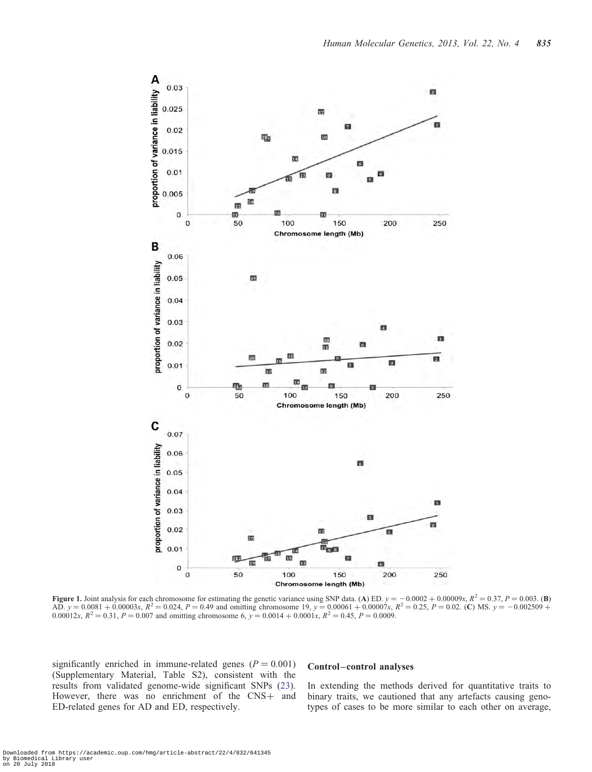<span id="page-3-0"></span>

Figure 1. Joint analysis for each chromosome for estimating the genetic variance using SNP data. (A) ED.  $y = -0.0002 + 0.00009x$ ,  $R^2 = 0.37$ ,  $P = 0.003$ . (B) AD.  $y = 0.0081 + 0.00003x$ ,  $R^2 = 0.024$ ,  $P = 0.49$  and omitting chromosome 19,  $y = 0.00061 + 0.00007x$ ,  $R^2 = 0.25$ ,  $P = 0.02$ . (C) MS.  $y = -0.002509 + 0.00061 + 0.00007x$ 0.00012x,  $R^2 = 0.31$ ,  $P = 0.007$  and omitting chromosome 6,  $y = 0.0014 + 0.0001x$ ,  $R^2 = 0.45$ ,  $P = 0.0009$ .

significantly enriched in immune-related genes ( $P = 0.001$ ) [\(Supplementary Material, Table S2](http://hmg.oxfordjournals.org/lookup/suppl/doi:10.1093/hmg/dds491/-/DC1)), consistent with the results from validated genome-wide significant SNPs [\(23](#page-8-0)). However, there was no enrichment of the CNS+ and ED-related genes for AD and ED, respectively.

#### Control –control analyses

In extending the methods derived for quantitative traits to binary traits, we cautioned that any artefacts causing genotypes of cases to be more similar to each other on average,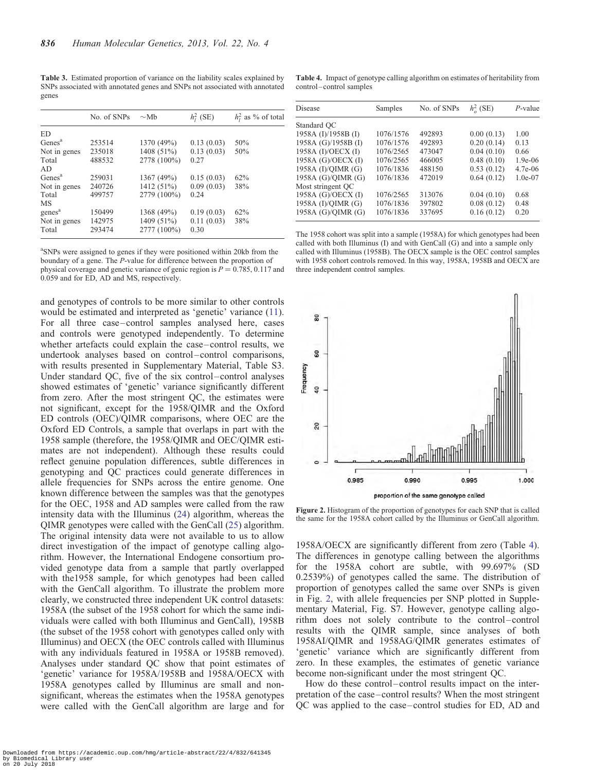<span id="page-4-0"></span>Table 3. Estimated proportion of variance on the liability scales explained by SNPs associated with annotated genes and SNPs not associated with annotated genes

|                    | No. of SNPs | $\sim$ Mb   | $h_l^2$ (SE) | $h_1^2$ as % of total |
|--------------------|-------------|-------------|--------------|-----------------------|
| ED.                |             |             |              |                       |
| Genes <sup>a</sup> | 253514      | 1370 (49%)  | 0.13(0.03)   | 50%                   |
| Not in genes       | 235018      | 1408 (51%)  | 0.13(0.03)   | 50%                   |
| Total              | 488532      | 2778 (100%) | 0.27         |                       |
| AD                 |             |             |              |                       |
| Genes <sup>a</sup> | 259031      | 1367 (49%)  | 0.15(0.03)   | 62%                   |
| Not in genes       | 240726      | 1412 (51%)  | 0.09(0.03)   | 38%                   |
| Total              | 499757      | 2779 (100%) | 0.24         |                       |
| <b>MS</b>          |             |             |              |                       |
| genes <sup>a</sup> | 150499      | 1368 (49%)  | 0.19(0.03)   | 62%                   |
| Not in genes       | 142975      | 1409 (51%)  | 0.11(0.03)   | 38%                   |
| Total              | 293474      | 2777 (100%) | 0.30         |                       |

<sup>a</sup>SNPs were assigned to genes if they were positioned within 20kb from the boundary of a gene. The P-value for difference between the proportion of physical coverage and genetic variance of genic region is  $P = 0.785$ , 0.117 and 0.059 and for ED, AD and MS, respectively.

and genotypes of controls to be more similar to other controls would be estimated and interpreted as 'genetic' variance [\(11](#page-8-0)). For all three case-control samples analysed here, cases and controls were genotyped independently. To determine whether artefacts could explain the case –control results, we undertook analyses based on control–control comparisons, with results presented in [Supplementary Material, Table S3.](http://hmg.oxfordjournals.org/lookup/suppl/doi:10.1093/hmg/dds491/-/DC1) Under standard QC, five of the six control–control analyses showed estimates of 'genetic' variance significantly different from zero. After the most stringent QC, the estimates were not significant, except for the 1958/QIMR and the Oxford ED controls (OEC)/QIMR comparisons, where OEC are the Oxford ED Controls, a sample that overlaps in part with the 1958 sample (therefore, the 1958/QIMR and OEC/QIMR estimates are not independent). Although these results could reflect genuine population differences, subtle differences in genotyping and QC practices could generate differences in allele frequencies for SNPs across the entire genome. One known difference between the samples was that the genotypes for the OEC, 1958 and AD samples were called from the raw intensity data with the Illuminus [\(24](#page-8-0)) algorithm, whereas the QIMR genotypes were called with the GenCall ([25\)](#page-8-0) algorithm. The original intensity data were not available to us to allow direct investigation of the impact of genotype calling algorithm. However, the International Endogene consortium provided genotype data from a sample that partly overlapped with the1958 sample, for which genotypes had been called with the GenCall algorithm. To illustrate the problem more clearly, we constructed three independent UK control datasets: 1958A (the subset of the 1958 cohort for which the same individuals were called with both Illuminus and GenCall), 1958B (the subset of the 1958 cohort with genotypes called only with Illuminus) and OECX (the OEC controls called with Illuminus with any individuals featured in 1958A or 1958B removed). Analyses under standard QC show that point estimates of 'genetic' variance for 1958A/1958B and 1958A/OECX with 1958A genotypes called by Illuminus are small and nonsignificant, whereas the estimates when the 1958A genotypes were called with the GenCall algorithm are large and for

Table 4. Impact of genotype calling algorithm on estimates of heritability from control–control samples

| Disease             | Samples   | No. of SNPs | $h^2$ (SE) | $P$ -value |
|---------------------|-----------|-------------|------------|------------|
| Standard OC         |           |             |            |            |
| 1958A (I)/1958B (I) | 1076/1576 | 492893      | 0.00(0.13) | 1.00       |
| 1958A (G)/1958B (I) | 1076/1576 | 492893      | 0.20(0.14) | 0.13       |
| 1958A (I)/OECX (I)  | 1076/2565 | 473047      | 0.04(0.10) | 0.66       |
| 1958A (G)/OECX (I)  | 1076/2565 | 466005      | 0.48(0.10) | $1.9e-06$  |
| 1958A (I)/OIMR (G)  | 1076/1836 | 488150      | 0.53(0.12) | $4.7e-06$  |
| 1958A (G)/OIMR (G)  | 1076/1836 | 472019      | 0.64(0.12) | $1.0e-07$  |
| Most stringent OC   |           |             |            |            |
| 1958A (G)/OECX (I)  | 1076/2565 | 313076      | 0.04(0.10) | 0.68       |
| 1958A (I)/OIMR (G)  | 1076/1836 | 397802      | 0.08(0.12) | 0.48       |
| 1958A (G)/OIMR (G)  | 1076/1836 | 337695      | 0.16(0.12) | 0.20       |

The 1958 cohort was split into a sample (1958A) for which genotypes had been called with both Illuminus (I) and with GenCall (G) and into a sample only called with Illuminus (1958B). The OECX sample is the OEC control samples with 1958 cohort controls removed. In this way, 1958A, 1958B and OECX are three independent control samples.



Figure 2. Histogram of the proportion of genotypes for each SNP that is called the same for the 1958A cohort called by the Illuminus or GenCall algorithm.

1958A/OECX are significantly different from zero (Table 4). The differences in genotype calling between the algorithms for the 1958A cohort are subtle, with 99.697% (SD 0.2539%) of genotypes called the same. The distribution of proportion of genotypes called the same over SNPs is given in Fig. 2, with allele frequencies per SNP plotted in [Supple](http://hmg.oxfordjournals.org/lookup/suppl/doi:10.1093/hmg/dds491/-/DC1)[mentary Material, Fig. S7.](http://hmg.oxfordjournals.org/lookup/suppl/doi:10.1093/hmg/dds491/-/DC1) However, genotype calling algorithm does not solely contribute to the control –control results with the QIMR sample, since analyses of both 1958AI/QIMR and 1958AG/QIMR generates estimates of 'genetic' variance which are significantly different from zero. In these examples, the estimates of genetic variance become non-significant under the most stringent QC.

How do these control–control results impact on the interpretation of the case –control results? When the most stringent QC was applied to the case–control studies for ED, AD and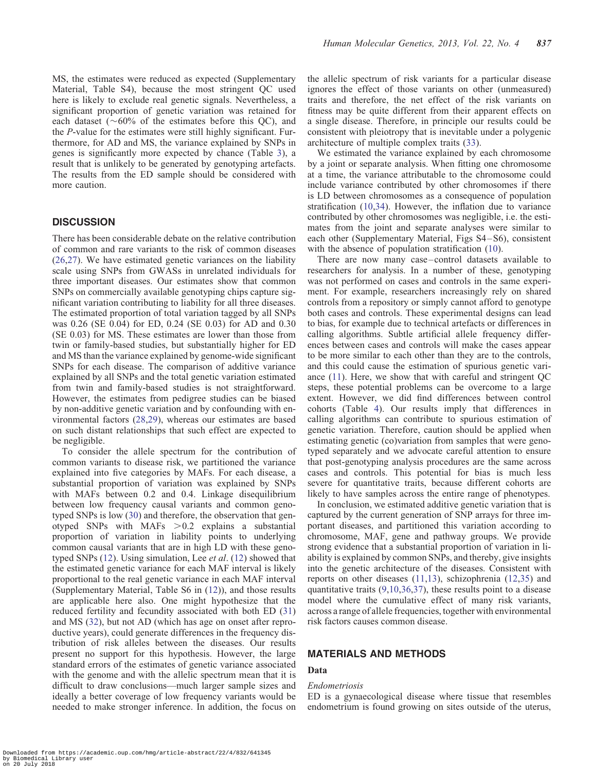MS, the estimates were reduced as expected [\(Supplementary](http://hmg.oxfordjournals.org/lookup/suppl/doi:10.1093/hmg/dds491/-/DC1) [Material, Table S4](http://hmg.oxfordjournals.org/lookup/suppl/doi:10.1093/hmg/dds491/-/DC1)), because the most stringent QC used here is likely to exclude real genetic signals. Nevertheless, a significant proportion of genetic variation was retained for each dataset ( $\sim 60\%$  of the estimates before this QC), and the P-value for the estimates were still highly significant. Furthermore, for AD and MS, the variance explained by SNPs in genes is significantly more expected by chance (Table [3\)](#page-4-0), a result that is unlikely to be generated by genotyping artefacts. The results from the ED sample should be considered with more caution.

# **DISCUSSION**

There has been considerable debate on the relative contribution of common and rare variants to the risk of common diseases [\(26](#page-8-0),[27\)](#page-8-0). We have estimated genetic variances on the liability scale using SNPs from GWASs in unrelated individuals for three important diseases. Our estimates show that common SNPs on commercially available genotyping chips capture significant variation contributing to liability for all three diseases. The estimated proportion of total variation tagged by all SNPs was 0.26 (SE 0.04) for ED, 0.24 (SE 0.03) for AD and 0.30 (SE 0.03) for MS. These estimates are lower than those from twin or family-based studies, but substantially higher for ED and MS than the variance explained by genome-wide significant SNPs for each disease. The comparison of additive variance explained by all SNPs and the total genetic variation estimated from twin and family-based studies is not straightforward. However, the estimates from pedigree studies can be biased by non-additive genetic variation and by confounding with environmental factors ([28,29](#page-8-0)), whereas our estimates are based on such distant relationships that such effect are expected to be negligible.

To consider the allele spectrum for the contribution of common variants to disease risk, we partitioned the variance explained into five categories by MAFs. For each disease, a substantial proportion of variation was explained by SNPs with MAFs between 0.2 and 0.4. Linkage disequilibrium between low frequency causal variants and common genotyped SNPs is low ([30\)](#page-8-0) and therefore, the observation that genotyped SNPs with MAFs  $> 0.2$  explains a substantial proportion of variation in liability points to underlying common causal variants that are in high LD with these geno-typed SNPs ([12\)](#page-8-0). Using simulation, Lee *et al.* [\(12](#page-8-0)) showed that the estimated genetic variance for each MAF interval is likely proportional to the real genetic variance in each MAF interval (Supplementary Material, Table S6 in [\(12](#page-8-0))), and those results are applicable here also. One might hypothesize that the reduced fertility and fecundity associated with both ED ([31\)](#page-8-0) and MS [\(32\)](#page-8-0), but not AD (which has age on onset after reproductive years), could generate differences in the frequency distribution of risk alleles between the diseases. Our results present no support for this hypothesis. However, the large standard errors of the estimates of genetic variance associated with the genome and with the allelic spectrum mean that it is difficult to draw conclusions—much larger sample sizes and ideally a better coverage of low frequency variants would be needed to make stronger inference. In addition, the focus on

the allelic spectrum of risk variants for a particular disease ignores the effect of those variants on other (unmeasured) traits and therefore, the net effect of the risk variants on fitness may be quite different from their apparent effects on a single disease. Therefore, in principle our results could be consistent with pleiotropy that is inevitable under a polygenic architecture of multiple complex traits [\(33](#page-8-0)).

We estimated the variance explained by each chromosome by a joint or separate analysis. When fitting one chromosome at a time, the variance attributable to the chromosome could include variance contributed by other chromosomes if there is LD between chromosomes as a consequence of population stratification ([10,34](#page-8-0)). However, the inflation due to variance contributed by other chromosomes was negligible, i.e. the estimates from the joint and separate analyses were similar to each other (Supplementary Material, Figs S4–S6), consistent with the absence of population stratification ([10\)](#page-8-0).

There are now many case –control datasets available to researchers for analysis. In a number of these, genotyping was not performed on cases and controls in the same experiment. For example, researchers increasingly rely on shared controls from a repository or simply cannot afford to genotype both cases and controls. These experimental designs can lead to bias, for example due to technical artefacts or differences in calling algorithms. Subtle artificial allele frequency differences between cases and controls will make the cases appear to be more similar to each other than they are to the controls, and this could cause the estimation of spurious genetic variance [\(11](#page-8-0)). Here, we show that with careful and stringent QC steps, these potential problems can be overcome to a large extent. However, we did find differences between control cohorts (Table [4\)](#page-4-0). Our results imply that differences in calling algorithms can contribute to spurious estimation of genetic variation. Therefore, caution should be applied when estimating genetic (co)variation from samples that were genotyped separately and we advocate careful attention to ensure that post-genotyping analysis procedures are the same across cases and controls. This potential for bias is much less severe for quantitative traits, because different cohorts are likely to have samples across the entire range of phenotypes.

In conclusion, we estimated additive genetic variation that is captured by the current generation of SNP arrays for three important diseases, and partitioned this variation according to chromosome, MAF, gene and pathway groups. We provide strong evidence that a substantial proportion of variation in liability is explained by common SNPs, and thereby, give insights into the genetic architecture of the diseases. Consistent with reports on other diseases ([11,13](#page-8-0)), schizophrenia [\(12](#page-8-0),[35\)](#page-8-0) and quantitative traits ([9,10,36](#page-8-0),[37](#page-8-0)), these results point to a disease model where the cumulative effect of many risk variants, across a range of allele frequencies, together with environmental risk factors causes common disease.

# MATERIALS AND METHODS

#### Data

# Endometriosis

ED is a gynaecological disease where tissue that resembles endometrium is found growing on sites outside of the uterus,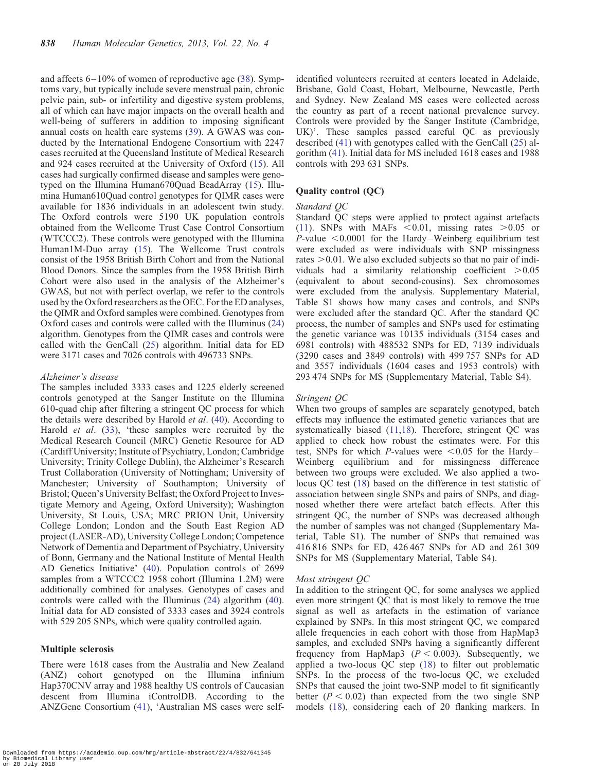and affects  $6 - 10\%$  of women of reproductive age ([38\)](#page-8-0). Symptoms vary, but typically include severe menstrual pain, chronic pelvic pain, sub- or infertility and digestive system problems, all of which can have major impacts on the overall health and well-being of sufferers in addition to imposing significant annual costs on health care systems [\(39](#page-8-0)). A GWAS was conducted by the International Endogene Consortium with 2247 cases recruited at the Queensland Institute of Medical Research and 924 cases recruited at the University of Oxford ([15\)](#page-8-0). All cases had surgically confirmed disease and samples were genotyped on the Illumina Human670Quad BeadArray [\(15](#page-8-0)). Illumina Human610Quad control genotypes for QIMR cases were available for 1836 individuals in an adolescent twin study. The Oxford controls were 5190 UK population controls obtained from the Wellcome Trust Case Control Consortium (WTCCC2). These controls were genotyped with the Illumina Human1M-Duo array [\(15\)](#page-8-0). The Wellcome Trust controls consist of the 1958 British Birth Cohort and from the National Blood Donors. Since the samples from the 1958 British Birth Cohort were also used in the analysis of the Alzheimer's GWAS, but not with perfect overlap, we refer to the controls used by the Oxford researchers as the OEC. For the ED analyses, the QIMR and Oxford samples were combined. Genotypes from Oxford cases and controls were called with the Illuminus ([24\)](#page-8-0) algorithm. Genotypes from the QIMR cases and controls were called with the GenCall ([25\)](#page-8-0) algorithm. Initial data for ED were 3171 cases and 7026 controls with 496733 SNPs.

#### Alzheimer's disease

The samples included 3333 cases and 1225 elderly screened controls genotyped at the Sanger Institute on the Illumina 610-quad chip after filtering a stringent QC process for which the details were described by Harold et al. ([40\)](#page-8-0). According to Harold et al. ([33\)](#page-8-0), 'these samples were recruited by the Medical Research Council (MRC) Genetic Resource for AD (Cardiff University; Institute of Psychiatry, London; Cambridge University; Trinity College Dublin), the Alzheimer's Research Trust Collaboration (University of Nottingham; University of Manchester; University of Southampton; University of Bristol; Queen's University Belfast; the Oxford Project to Investigate Memory and Ageing, Oxford University); Washington University, St Louis, USA; MRC PRION Unit, University College London; London and the South East Region AD project (LASER-AD), University College London; Competence Network of Dementia and Department of Psychiatry, University of Bonn, Germany and the National Institute of Mental Health AD Genetics Initiative' [\(40](#page-8-0)). Population controls of 2699 samples from a WTCCC2 1958 cohort (Illumina 1.2M) were additionally combined for analyses. Genotypes of cases and controls were called with the Illuminus [\(24](#page-8-0)) algorithm [\(40](#page-8-0)). Initial data for AD consisted of 3333 cases and 3924 controls with 529 205 SNPs, which were quality controlled again.

# Multiple sclerosis

There were 1618 cases from the Australia and New Zealand (ANZ) cohort genotyped on the Illumina infinium Hap370CNV array and 1988 healthy US controls of Caucasian descent from Illumina iControlDB. According to the ANZGene Consortium ([41\)](#page-8-0), 'Australian MS cases were self-

identified volunteers recruited at centers located in Adelaide, Brisbane, Gold Coast, Hobart, Melbourne, Newcastle, Perth and Sydney. New Zealand MS cases were collected across the country as part of a recent national prevalence survey. Controls were provided by the Sanger Institute (Cambridge, UK)'. These samples passed careful QC as previously described [\(41](#page-8-0)) with genotypes called with the GenCall [\(25](#page-8-0)) algorithm ([41\)](#page-8-0). Initial data for MS included 1618 cases and 1988 controls with 293 631 SNPs.

#### Quality control (QC)

#### Standard QC

Standard QC steps were applied to protect against artefacts [\(11](#page-8-0)). SNPs with MAFs  $< 0.01$ , missing rates  $> 0.05$  or  $P$ -value <0.0001 for the Hardy-Weinberg equilibrium test were excluded as were individuals with SNP missingness rates  $>0.01$ . We also excluded subjects so that no pair of individuals had a similarity relationship coefficient  $>0.05$ (equivalent to about second-cousins). Sex chromosomes were excluded from the analysis. [Supplementary Material,](http://hmg.oxfordjournals.org/lookup/suppl/doi:10.1093/hmg/dds491/-/DC1) [Table S1](http://hmg.oxfordjournals.org/lookup/suppl/doi:10.1093/hmg/dds491/-/DC1) shows how many cases and controls, and SNPs were excluded after the standard QC. After the standard QC process, the number of samples and SNPs used for estimating the genetic variance was 10135 individuals (3154 cases and 6981 controls) with 488532 SNPs for ED, 7139 individuals (3290 cases and 3849 controls) with 499 757 SNPs for AD and 3557 individuals (1604 cases and 1953 controls) with 293 474 SNPs for MS ([Supplementary Material, Table S4\)](http://hmg.oxfordjournals.org/lookup/suppl/doi:10.1093/hmg/dds491/-/DC1).

#### Stringent QC

When two groups of samples are separately genotyped, batch effects may influence the estimated genetic variances that are systematically biased ([11,18](#page-8-0)). Therefore, stringent QC was applied to check how robust the estimates were. For this test, SNPs for which P-values were  $< 0.05$  for the Hardy– Weinberg equilibrium and for missingness difference between two groups were excluded. We also applied a twolocus QC test [\(18](#page-8-0)) based on the difference in test statistic of association between single SNPs and pairs of SNPs, and diagnosed whether there were artefact batch effects. After this stringent QC, the number of SNPs was decreased although the number of samples was not changed [\(Supplementary Ma](http://hmg.oxfordjournals.org/lookup/suppl/doi:10.1093/hmg/dds491/-/DC1)[terial, Table S1\)](http://hmg.oxfordjournals.org/lookup/suppl/doi:10.1093/hmg/dds491/-/DC1). The number of SNPs that remained was 416 816 SNPs for ED, 426 467 SNPs for AD and 261 309 SNPs for MS [\(Supplementary Material, Table S4](http://hmg.oxfordjournals.org/lookup/suppl/doi:10.1093/hmg/dds491/-/DC1)).

#### Most stringent QC

In addition to the stringent QC, for some analyses we applied even more stringent QC that is most likely to remove the true signal as well as artefacts in the estimation of variance explained by SNPs. In this most stringent QC, we compared allele frequencies in each cohort with those from HapMap3 samples, and excluded SNPs having a significantly different frequency from HapMap3 ( $P < 0.003$ ). Subsequently, we applied a two-locus QC step [\(18](#page-8-0)) to filter out problematic SNPs. In the process of the two-locus QC, we excluded SNPs that caused the joint two-SNP model to fit significantly better ( $P < 0.02$ ) than expected from the two single SNP models ([18\)](#page-8-0), considering each of 20 flanking markers. In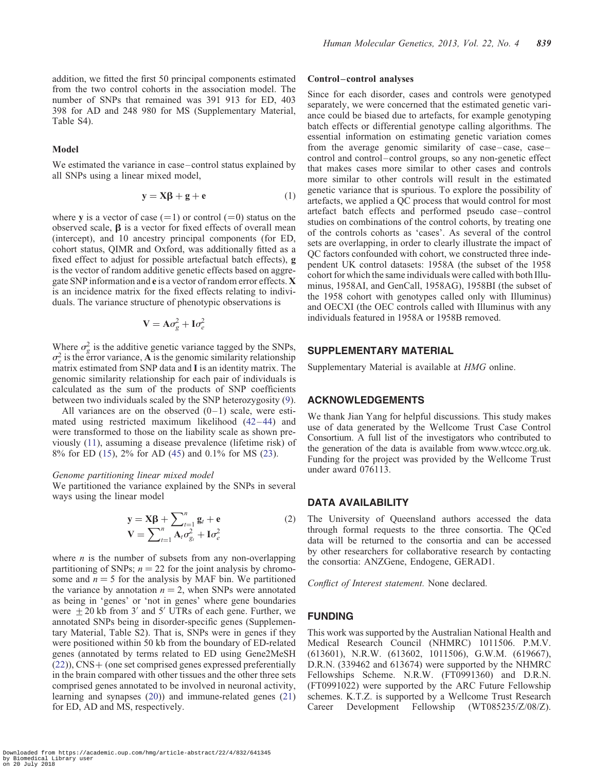addition, we fitted the first 50 principal components estimated from the two control cohorts in the association model. The number of SNPs that remained was 391 913 for ED, 403 398 for AD and 248 980 for MS [\(Supplementary Material,](http://hmg.oxfordjournals.org/lookup/suppl/doi:10.1093/hmg/dds491/-/DC1) [Table S4\)](http://hmg.oxfordjournals.org/lookup/suppl/doi:10.1093/hmg/dds491/-/DC1).

#### Model

We estimated the variance in case–control status explained by all SNPs using a linear mixed model,

$$
y = X\beta + g + e \tag{1}
$$

where y is a vector of case  $(=1)$  or control  $(=0)$  status on the observed scale,  $\beta$  is a vector for fixed effects of overall mean (intercept), and 10 ancestry principal components (for ED, cohort status, QIMR and Oxford, was additionally fitted as a fixed effect to adjust for possible artefactual batch effects), g is the vector of random additive genetic effects based on aggregate SNP information and e is a vector of random error effects. X is an incidence matrix for the fixed effects relating to individuals. The variance structure of phenotypic observations is

$$
\mathbf{V} = \mathbf{A}\sigma_g^2 + \mathbf{I}\sigma_e^2
$$

Where  $\sigma_g^2$  is the additive genetic variance tagged by the SNPs,  $\sigma_e^2$  is the error variance, **A** is the genomic similarity relationship matrix estimated from SNP data and I is an identity matrix. The genomic similarity relationship for each pair of individuals is calculated as the sum of the products of SNP coefficients between two individuals scaled by the SNP heterozygosity [\(9](#page-8-0)).

All variances are on the observed  $(0-1)$  scale, were estimated using restricted maximum likelihood ([42](#page-9-0)–[44\)](#page-9-0) and were transformed to those on the liability scale as shown previously [\(11](#page-8-0)), assuming a disease prevalence (lifetime risk) of 8% for ED ([15\)](#page-8-0), 2% for AD ([45\)](#page-9-0) and 0.1% for MS [\(23](#page-8-0)).

#### Genome partitioning linear mixed model

We partitioned the variance explained by the SNPs in several ways using the linear model

$$
\mathbf{y} = \mathbf{X}\boldsymbol{\beta} + \sum_{t=1}^{n} \mathbf{g}_t + \mathbf{e}
$$
  
\n
$$
\mathbf{V} = \sum_{t=1}^{n} \mathbf{A}_t \sigma_{g_t}^2 + \mathbf{I} \sigma_e^2
$$
 (2)

where  $n$  is the number of subsets from any non-overlapping partitioning of SNPs;  $n = 22$  for the joint analysis by chromosome and  $n = 5$  for the analysis by MAF bin. We partitioned the variance by annotation  $n = 2$ , when SNPs were annotated as being in 'genes' or 'not in genes' where gene boundaries were  $\pm 20$  kb from 3' and 5' UTRs of each gene. Further, we annotated SNPs being in disorder-specific genes [\(Supplemen](http://hmg.oxfordjournals.org/lookup/suppl/doi:10.1093/hmg/dds491/-/DC1)[tary Material, Table S2\)](http://hmg.oxfordjournals.org/lookup/suppl/doi:10.1093/hmg/dds491/-/DC1). That is, SNPs were in genes if they were positioned within 50 kb from the boundary of ED-related genes (annotated by terms related to ED using Gene2MeSH [\(22](#page-8-0))), CNS+ (one set comprised genes expressed preferentially in the brain compared with other tissues and the other three sets comprised genes annotated to be involved in neuronal activity, learning and synapses ([20\)](#page-8-0)) and immune-related genes ([21\)](#page-8-0) for ED, AD and MS, respectively.

# Control –control analyses

Since for each disorder, cases and controls were genotyped separately, we were concerned that the estimated genetic variance could be biased due to artefacts, for example genotyping batch effects or differential genotype calling algorithms. The essential information on estimating genetic variation comes from the average genomic similarity of case-case, casecontrol and control –control groups, so any non-genetic effect that makes cases more similar to other cases and controls more similar to other controls will result in the estimated genetic variance that is spurious. To explore the possibility of artefacts, we applied a QC process that would control for most artefact batch effects and performed pseudo case –control studies on combinations of the control cohorts, by treating one of the controls cohorts as 'cases'. As several of the control sets are overlapping, in order to clearly illustrate the impact of QC factors confounded with cohort, we constructed three independent UK control datasets: 1958A (the subset of the 1958 cohort for which the same individuals were called with both Illuminus, 1958AI, and GenCall, 1958AG), 1958BI (the subset of the 1958 cohort with genotypes called only with Illuminus) and OECXI (the OEC controls called with Illuminus with any individuals featured in 1958A or 1958B removed.

# SUPPLEMENTARY MATERIAL

[Supplementary Material is available at](http://hmg.oxfordjournals.org/lookup/suppl/doi:10.1093/hmg/dds491/-/DC1) HMG online.

# ACKNOWLEDGEMENTS

We thank Jian Yang for helpful discussions. This study makes use of data generated by the Wellcome Trust Case Control Consortium. A full list of the investigators who contributed to the generation of the data is available from www.wtccc.org.uk. Funding for the project was provided by the Wellcome Trust under award 076113.

# DATA AVAILABILITY

The University of Queensland authors accessed the data through formal requests to the three consortia. The QCed data will be returned to the consortia and can be accessed by other researchers for collaborative research by contacting the consortia: ANZGene, Endogene, GERAD1.

Conflict of Interest statement. None declared.

#### FUNDING

This work was supported by the Australian National Health and Medical Research Council (NHMRC) 1011506. P.M.V. (613601), N.R.W. (613602, 1011506), G.W.M. (619667), D.R.N. (339462 and 613674) were supported by the NHMRC Fellowships Scheme. N.R.W. (FT0991360) and D.R.N. (FT0991022) were supported by the ARC Future Fellowship schemes. K.T.Z. is supported by a Wellcome Trust Research Career Development Fellowship (WT085235/Z/08/Z).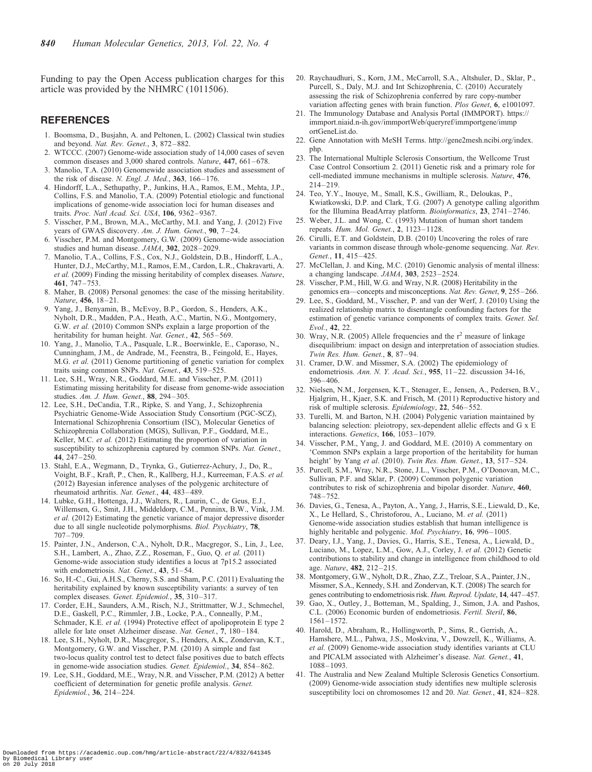<span id="page-8-0"></span>Funding to pay the Open Access publication charges for this article was provided by the NHMRC (1011506).

# **REFERENCES**

- 1. Boomsma, D., Busjahn, A. and Peltonen, L. (2002) Classical twin studies and beyond. Nat. Rev. Genet., 3, 872-882.
- 2. WTCCC. (2007) Genome-wide association study of 14,000 cases of seven common diseases and 3,000 shared controls. Nature, 447, 661–678.
- Manolio, T.A. (2010) Genomewide association studies and assessment of the risk of disease. N. Engl. J. Med., 363, 166–176.
- 4. Hindorff, L.A., Sethupathy, P., Junkins, H.A., Ramos, E.M., Mehta, J.P., Collins, F.S. and Manolio, T.A. (2009) Potential etiologic and functional implications of genome-wide association loci for human diseases and traits. Proc. Natl Acad. Sci. USA, 106, 9362–9367.
- 5. Visscher, P.M., Brown, M.A., McCarthy, M.I. and Yang, J. (2012) Five years of GWAS discovery. Am. J. Hum. Genet., 90, 7-24.
- 6. Visscher, P.M. and Montgomery, G.W. (2009) Genome-wide association studies and human disease. JAMA, 302, 2028-2029.
- 7. Manolio, T.A., Collins, F.S., Cox, N.J., Goldstein, D.B., Hindorff, L.A., Hunter, D.J., McCarthy, M.I., Ramos, E.M., Cardon, L.R., Chakravarti, A. et al. (2009) Finding the missing heritability of complex diseases. Nature, 461, 747– 753.
- 8. Maher, B. (2008) Personal genomes: the case of the missing heritability. Nature, 456, 18-21.
- 9. Yang, J., Benyamin, B., McEvoy, B.P., Gordon, S., Henders, A.K., Nyholt, D.R., Madden, P.A., Heath, A.C., Martin, N.G., Montgomery, G.W. et al. (2010) Common SNPs explain a large proportion of the heritability for human height. Nat. Genet., 42, 565-569.
- 10. Yang, J., Manolio, T.A., Pasquale, L.R., Boerwinkle, E., Caporaso, N., Cunningham, J.M., de Andrade, M., Feenstra, B., Feingold, E., Hayes, M.G. et al. (2011) Genome partitioning of genetic variation for complex traits using common SNPs. Nat. Genet., 43, 519-525.
- 11. Lee, S.H., Wray, N.R., Goddard, M.E. and Visscher, P.M. (2011) Estimating missing heritability for disease from genome-wide association studies. Am. J. Hum. Genet., 88, 294-305.
- 12. Lee, S.H., DeCandia, T.R., Ripke, S. and Yang, J., Schizophrenia Psychiatric Genome-Wide Association Study Consortium (PGC-SCZ), International Schizophrenia Consortium (ISC), Molecular Genetics of Schizophrenia Collaboration (MGS), Sullivan, P.F., Goddard, M.E., Keller, M.C. et al. (2012) Estimating the proportion of variation in susceptibility to schizophrenia captured by common SNPs. Nat. Genet., 44, 247–250.
- 13. Stahl, E.A., Wegmann, D., Trynka, G., Gutierrez-Achury, J., Do, R., Voight, B.F., Kraft, P., Chen, R., Kallberg, H.J., Kurreeman, F.A.S. et al. (2012) Bayesian inference analyses of the polygenic architecture of rheumatoid arthritis. Nat. Genet., 44, 483-489.
- 14. Lubke, G.H., Hottenga, J.J., Walters, R., Laurin, C., de Geus, E.J., Willemsen, G., Smit, J.H., Middeldorp, C.M., Penninx, B.W., Vink, J.M. et al. (2012) Estimating the genetic variance of major depressive disorder due to all single nucleotide polymorphisms. Biol. Psychiatry, 78,  $707 - 709.$
- 15. Painter, J.N., Anderson, C.A., Nyholt, D.R., Macgregor, S., Lin, J., Lee, S.H., Lambert, A., Zhao, Z.Z., Roseman, F., Guo, Q. et al. (2011) Genome-wide association study identifies a locus at 7p15.2 associated with endometriosis. Nat. Genet., 43, 51-54.
- 16. So, H.-C., Gui, A.H.S., Cherny, S.S. and Sham, P.C. (2011) Evaluating the heritability explained by known susceptibility variants: a survey of ten complex diseases. Genet. Epidemiol., 35, 310–317.
- 17. Corder, E.H., Saunders, A.M., Risch, N.J., Strittmatter, W.J., Schmechel, D.E., Gaskell, P.C., Rimmler, J.B., Locke, P.A., Conneally, P.M., Schmader, K.E. et al. (1994) Protective effect of apolipoprotein E type 2 allele for late onset Alzheimer disease. Nat. Genet., 7, 180– 184.
- 18. Lee, S.H., Nyholt, D.R., Macgregor, S., Henders, A.K., Zondervan, K.T., Montgomery, G.W. and Visscher, P.M. (2010) A simple and fast two-locus quality control test to detect false positives due to batch effects in genome-wide association studies. Genet. Epidemiol., 34, 854–862.
- 19. Lee, S.H., Goddard, M.E., Wray, N.R. and Visscher, P.M. (2012) A better coefficient of determination for genetic profile analysis. Genet. Epidemiol., 36, 214 –224.
- 20. Raychaudhuri, S., Korn, J.M., McCarroll, S.A., Altshuler, D., Sklar, P., Purcell, S., Daly, M.J. and Int Schizophrenia, C. (2010) Accurately assessing the risk of Schizophrenia conferred by rare copy-number variation affecting genes with brain function. Plos Genet, 6, e1001097.
- 21. The Immunology Database and Analysis Portal (IMMPORT). https:// immport.niaid.n-ih.gov/immportWeb/queryref/immportgene/immp ortGeneList.do.
- 22. Gene Annotation with MeSH Terms. http://gene2mesh.ncibi.org/index. php.
- 23. The International Multiple Sclerosis Consortium, the Wellcome Trust Case Control Consortium 2. (2011) Genetic risk and a primary role for cell-mediated immune mechanisms in multiple sclerosis. Nature, 476, 214–219.
- 24. Teo, Y.Y., Inouye, M., Small, K.S., Gwilliam, R., Deloukas, P., Kwiatkowski, D.P. and Clark, T.G. (2007) A genotype calling algorithm for the Illumina BeadArray platform. Bioinformatics, 23, 2741-2746.
- Weber, J.L. and Wong, C. (1993) Mutation of human short tandem repeats. Hum. Mol. Genet., 2, 1123– 1128.
- 26. Cirulli, E.T. and Goldstein, D.B. (2010) Uncovering the roles of rare variants in common disease through whole-genome sequencing. Nat. Rev. Genet., 11, 415–425.
- 27. McClellan, J. and King, M.C. (2010) Genomic analysis of mental illness: a changing landscape. JAMA, 303, 2523–2524.
- 28. Visscher, P.M., Hill, W.G. and Wray, N.R. (2008) Heritability in the genomics era—concepts and misconceptions. Nat. Rev. Genet, 9, 255–266.
- 29. Lee, S., Goddard, M., Visscher, P. and van der Werf, J. (2010) Using the realized relationship matrix to disentangle confounding factors for the estimation of genetic variance components of complex traits. Genet. Sel. Evol., 42, 22.
- 30. Wray, N.R. (2005) Allele frequencies and the  $r<sup>2</sup>$  measure of linkage disequilibrium: impact on design and interpretation of association studies. Twin Res. Hum. Genet., 8, 87-94.
- 31. Cramer, D.W. and Missmer, S.A. (2002) The epidemiology of endometriosis. Ann. N. Y. Acad. Sci., 955, 11-22. discussion 34-16, 396–406.
- 32. Nielsen, N.M., Jorgensen, K.T., Stenager, E., Jensen, A., Pedersen, B.V., Hjalgrim, H., Kjaer, S.K. and Frisch, M. (2011) Reproductive history and risk of multiple sclerosis. Epidemiology, 22, 546-552.
- 33. Turelli, M. and Barton, N.H. (2004) Polygenic variation maintained by balancing selection: pleiotropy, sex-dependent allelic effects and G x E interactions. Genetics, 166, 1053–1079.
- 34. Visscher, P.M., Yang, J. and Goddard, M.E. (2010) A commentary on 'Common SNPs explain a large proportion of the heritability for human height' by Yang et al. (2010). Twin Res. Hum. Genet., 13, 517-524.
- 35. Purcell, S.M., Wray, N.R., Stone, J.L., Visscher, P.M., O'Donovan, M.C., Sullivan, P.F. and Sklar, P. (2009) Common polygenic variation contributes to risk of schizophrenia and bipolar disorder. Nature, 460, 748–752.
- 36. Davies, G., Tenesa, A., Payton, A., Yang, J., Harris, S.E., Liewald, D., Ke, X., Le Hellard, S., Christoforou, A., Luciano, M. et al. (2011) Genome-wide association studies establish that human intelligence is highly heritable and polygenic. Mol. Psychiatry, 16, 996-1005.
- 37. Deary, I.J., Yang, J., Davies, G., Harris, S.E., Tenesa, A., Liewald, D., Luciano, M., Lopez, L.M., Gow, A.J., Corley, J. et al. (2012) Genetic contributions to stability and change in intelligence from childhood to old age. Nature, 482, 212–215.
- 38. Montgomery, G.W., Nyholt, D.R., Zhao, Z.Z., Treloar, S.A., Painter, J.N., Missmer, S.A., Kennedy, S.H. and Zondervan, K.T. (2008) The search for genes contributing to endometriosis risk. Hum. Reprod. Update, 14, 447–457.
- 39. Gao, X., Outley, J., Botteman, M., Spalding, J., Simon, J.A. and Pashos, C.L. (2006) Economic burden of endometriosis. Fertil. Steril, 86, 1561– 1572.
- 40. Harold, D., Abraham, R., Hollingworth, P., Sims, R., Gerrish, A., Hamshere, M.L., Pahwa, J.S., Moskvina, V., Dowzell, K., Williams, A. et al. (2009) Genome-wide association study identifies variants at CLU and PICALM associated with Alzheimer's disease. Nat. Genet., 41, 1088– 1093.
- 41. The Australia and New Zealand Multiple Sclerosis Genetics Consortium. (2009) Genome-wide association study identifies new multiple sclerosis susceptibility loci on chromosomes 12 and 20. Nat. Genet., 41, 824-828.